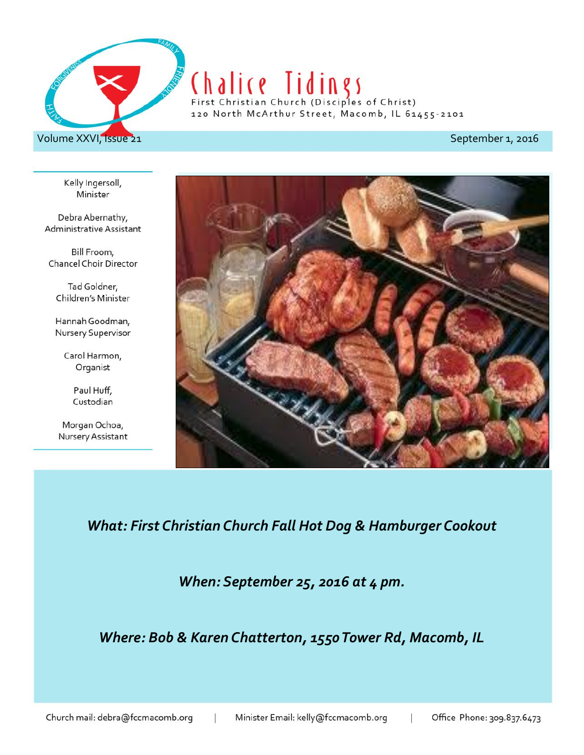

## Chalice Tidings

120 North McArthur Street, Macomb, IL 61455-2101

Kelly Ingersoll, Minister

Debra Abernathy, Administrative Assistant

Bill Froom, Chancel Choir Director

Tad Goldner, Children's Minister

Hannah Goodman, Nursery Supervisor

> Carol Harmon, Organist

> > Paul Huff, Custodian

Morgan Ochoa, Nursery Assistant



*What: First Christian Church Fall Hot Dog & Hamburger Cookout*

*When: September 25, 2016 at 4 pm.*

*Where: Bob & Karen Chatterton, 1550 Tower Rd, Macomb, IL*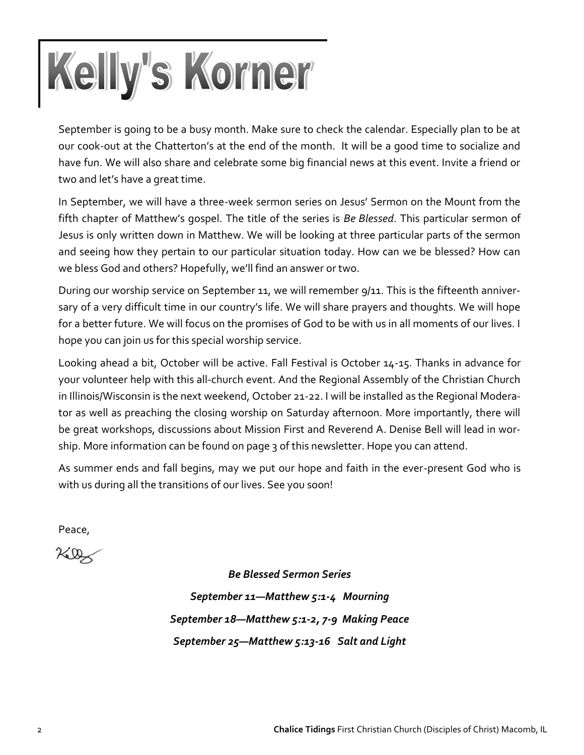# Kelly's Korner

September is going to be a busy month. Make sure to check the calendar. Especially plan to be at our cook-out at the Chatterton's at the end of the month. It will be a good time to socialize and have fun. We will also share and celebrate some big financial news at this event. Invite a friend or two and let's have a great time.

In September, we will have a three-week sermon series on Jesus' Sermon on the Mount from the fifth chapter of Matthew's gospel. The title of the series is *Be Blessed*. This particular sermon of Jesus is only written down in Matthew. We will be looking at three particular parts of the sermon and seeing how they pertain to our particular situation today. How can we be blessed? How can we bless God and others? Hopefully, we'll find an answer or two.

During our worship service on September 11, we will remember 9/11. This is the fifteenth anniversary of a very difficult time in our country's life. We will share prayers and thoughts. We will hope for a better future. We will focus on the promises of God to be with us in all moments of our lives. I hope you can join us for this special worship service.

Looking ahead a bit, October will be active. Fall Festival is October 14-15. Thanks in advance for your volunteer help with this all-church event. And the Regional Assembly of the Christian Church in Illinois/Wisconsin is the next weekend, October 21-22. I will be installed as the Regional Moderator as well as preaching the closing worship on Saturday afternoon. More importantly, there will be great workshops, discussions about Mission First and Reverend A. Denise Bell will lead in worship. More information can be found on page 3 of this newsletter. Hope you can attend.

As summer ends and fall begins, may we put our hope and faith in the ever-present God who is with us during all the transitions of our lives. See you soon!

Peace,

 $760$ 

*Be Blessed Sermon Series September 11—Matthew 5:1-4 Mourning September 18—Matthew 5:1-2, 7-9 Making Peace September 25—Matthew 5:13-16 Salt and Light*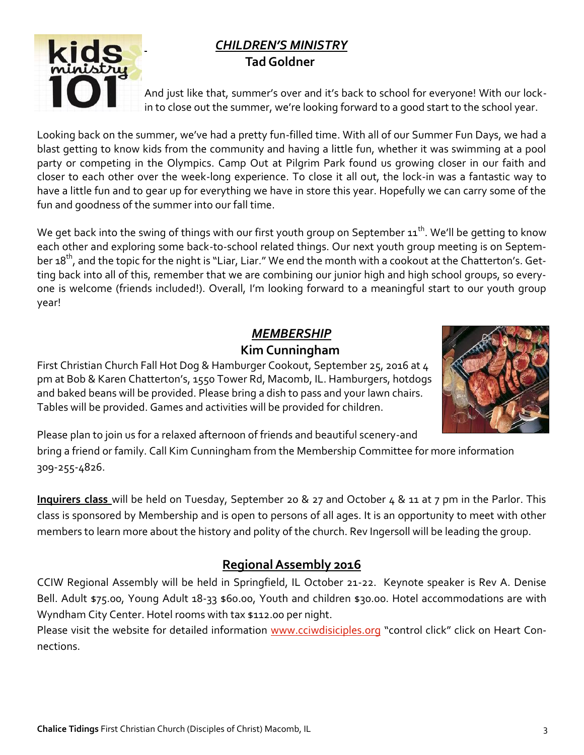#### *CHILDREN'S MINISTRY*  **Tad Goldner**



And just like that, summer's over and it's back to school for everyone! With our lockin to close out the summer, we're looking forward to a good start to the school year.

Looking back on the summer, we've had a pretty fun-filled time. With all of our Summer Fun Days, we had a blast getting to know kids from the community and having a little fun, whether it was swimming at a pool party or competing in the Olympics. Camp Out at Pilgrim Park found us growing closer in our faith and closer to each other over the week-long experience. To close it all out, the lock-in was a fantastic way to have a little fun and to gear up for everything we have in store this year. Hopefully we can carry some of the fun and goodness of the summer into our fall time.

We get back into the swing of things with our first youth group on September  $11^{th}$ . We'll be getting to know each other and exploring some back-to-school related things. Our next youth group meeting is on September 18<sup>th</sup>, and the topic for the night is "Liar, Liar." We end the month with a cookout at the Chatterton's. Getting back into all of this, remember that we are combining our junior high and high school groups, so everyone is welcome (friends included!). Overall, I'm looking forward to a meaningful start to our youth group year!

#### *MEMBERSHIP*  **Kim Cunningham**

First Christian Church Fall Hot Dog & Hamburger Cookout, September 25, 2016 at 4 pm at Bob & Karen Chatterton's, 1550 Tower Rd, Macomb, IL. Hamburgers, hotdogs and baked beans will be provided. Please bring a dish to pass and your lawn chairs. Tables will be provided. Games and activities will be provided for children.



Please plan to join us for a relaxed afternoon of friends and beautiful scenery-and

bring a friend or family. Call Kim Cunningham from the Membership Committee for more information 309-255-4826.

**Inquirers class** will be held on Tuesday, September 20 & 27 and October 4 & 11 at 7 pm in the Parlor. This class is sponsored by Membership and is open to persons of all ages. It is an opportunity to meet with other members to learn more about the history and polity of the church. Rev Ingersoll will be leading the group.

### **Regional Assembly 2016**

CCIW Regional Assembly will be held in Springfield, IL October 21-22. Keynote speaker is Rev A. Denise Bell. Adult \$75.00, Young Adult 18-33 \$60.00, Youth and children \$30.00. Hotel accommodations are with Wyndham City Center. Hotel rooms with tax \$112.00 per night.

Please visit the website for detailed information [www.cciwdisiciples.org](http://www.cciwdisciples.org) "control click" click on Heart Connections.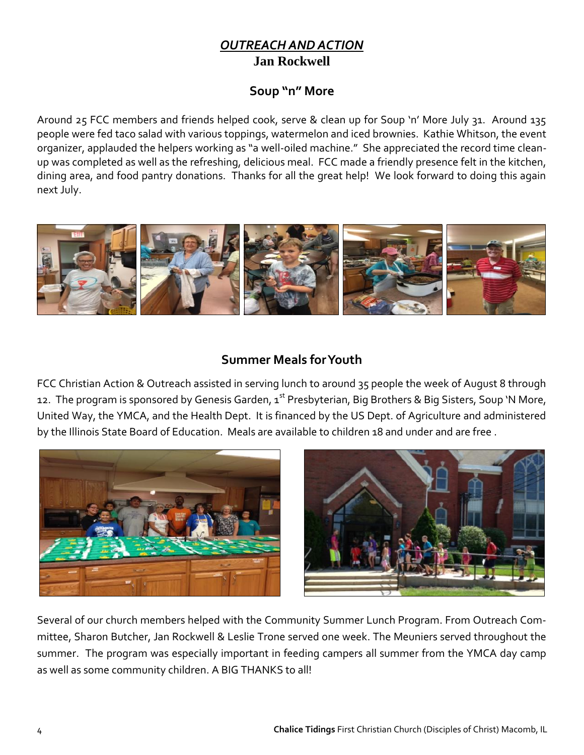#### *OUTREACH AND ACTION* **Jan Rockwell**

#### **Soup "n" More**

Around 25 FCC members and friends helped cook, serve & clean up for Soup 'n' More July 31. Around 135 people were fed taco salad with various toppings, watermelon and iced brownies. Kathie Whitson, the event organizer, applauded the helpers working as "a well-oiled machine." She appreciated the record time cleanup was completed as well as the refreshing, delicious meal. FCC made a friendly presence felt in the kitchen, dining area, and food pantry donations. Thanks for all the great help! We look forward to doing this again next July.



#### **Summer Meals for Youth**

FCC Christian Action & Outreach assisted in serving lunch to around 35 people the week of August 8 through 12. The program is sponsored by Genesis Garden, 1<sup>st</sup> Presbyterian, Big Brothers & Big Sisters, Soup 'N More, United Way, the YMCA, and the Health Dept. It is financed by the US Dept. of Agriculture and administered by the Illinois State Board of Education. Meals are available to children 18 and under and are free .





Several of our church members helped with the Community Summer Lunch Program. From Outreach Committee, Sharon Butcher, Jan Rockwell & Leslie Trone served one week. The Meuniers served throughout the summer. The program was especially important in feeding campers all summer from the YMCA day camp as well as some community children. A BIG THANKS to all!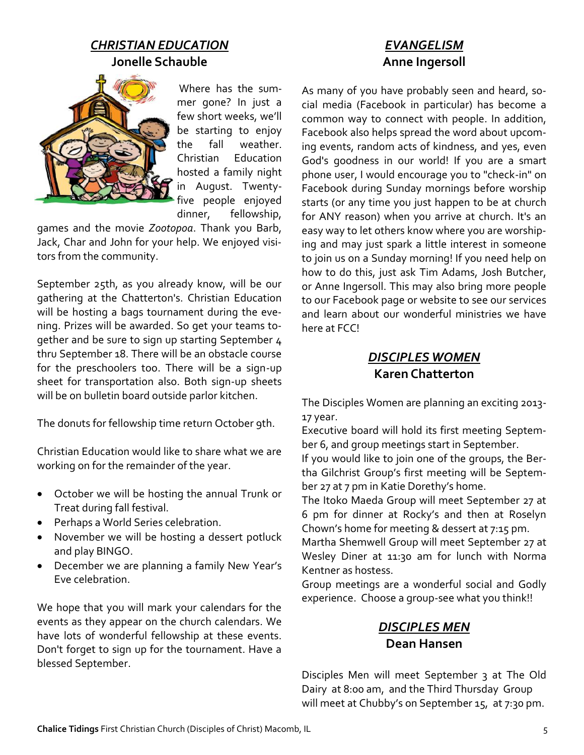#### *CHRISTIAN EDUCATION* **Jonelle Schauble**



Where has the summer gone? In just a few short weeks, we'll be starting to enjoy the fall weather. Christian Education hosted a family night in August. Twentyfive people enjoyed dinner, fellowship,

games and the movie *Zootopoa*. Thank you Barb, Jack, Char and John for your help. We enjoyed visitors from the community.

September 25th, as you already know, will be our gathering at the Chatterton's. Christian Education will be hosting a bags tournament during the evening. Prizes will be awarded. So get your teams together and be sure to sign up starting September 4 thru September 18. There will be an obstacle course for the preschoolers too. There will be a sign-up sheet for transportation also. Both sign-up sheets will be on bulletin board outside parlor kitchen.

The donuts for fellowship time return October 9th.

Christian Education would like to share what we are working on for the remainder of the year.

- October we will be hosting the annual Trunk or Treat during fall festival.
- Perhaps a World Series celebration.
- November we will be hosting a dessert potluck and play BINGO.
- December we are planning a family New Year's Eve celebration.

We hope that you will mark your calendars for the events as they appear on the church calendars. We have lots of wonderful fellowship at these events. Don't forget to sign up for the tournament. Have a blessed September.

#### *EVANGELISM* **Anne Ingersoll**

As many of you have probably seen and heard, social media (Facebook in particular) has become a common way to connect with people. In addition, Facebook also helps spread the word about upcoming events, random acts of kindness, and yes, even God's goodness in our world! If you are a smart phone user, I would encourage you to "check-in" on Facebook during Sunday mornings before worship starts (or any time you just happen to be at church for ANY reason) when you arrive at church. It's an easy way to let others know where you are worshiping and may just spark a little interest in someone to join us on a Sunday morning! If you need help on how to do this, just ask Tim Adams, Josh Butcher, or Anne Ingersoll. This may also bring more people to our Facebook page or website to see our services and learn about our wonderful ministries we have here at FCC!

#### *DISCIPLES WOMEN* **Karen Chatterton**

The Disciples Women are planning an exciting 2013- 17 year.

Executive board will hold its first meeting September 6, and group meetings start in September.

If you would like to join one of the groups, the Bertha Gilchrist Group's first meeting will be September 27 at 7 pm in Katie Dorethy's home.

The Itoko Maeda Group will meet September 27 at 6 pm for dinner at Rocky's and then at Roselyn Chown's home for meeting & dessert at 7:15 pm.

Martha Shemwell Group will meet September 27 at Wesley Diner at 11:30 am for lunch with Norma Kentner as hostess.

Group meetings are a wonderful social and Godly experience. Choose a group-see what you think!!

#### *DISCIPLES MEN* **Dean Hansen**

Disciples Men will meet September 3 at The Old Dairy at 8:00 am, and the Third Thursday Group will meet at Chubby's on September 15, at 7:30 pm.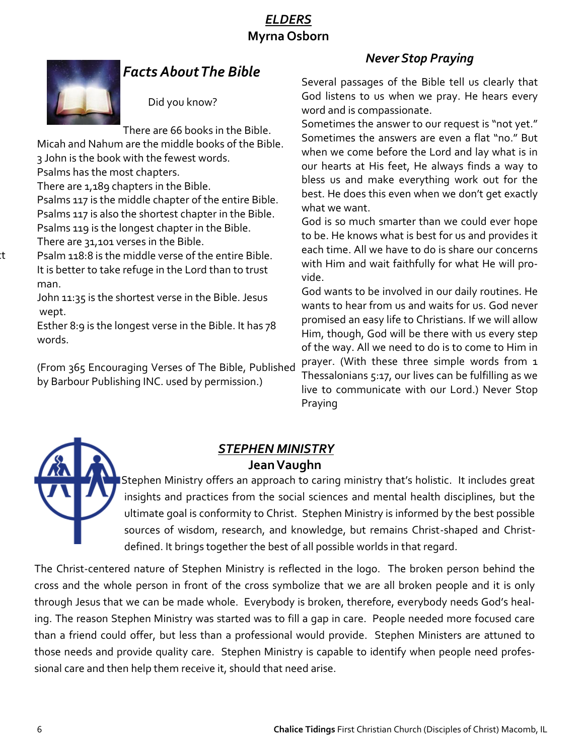#### *ELDERS* **Myrna Osborn**



**Chancel Flowers:** Would you like to provide flowers for the chancel? Please contact

#### *Facts About The Bible*

Did you know?

There are 66 books in the Bible.

Micah and Nahum are the middle books of the Bible. 3 John is the book with the fewest words.

Psalms has the most chapters.

There are 1,189 chapters in the Bible.

Psalms 117 is the middle chapter of the entire Bible. Psalms 117 is also the shortest chapter in the Bible. Psalms 119 is the longest chapter in the Bible. There are 31,101 verses in the Bible.

Psalm 118:8 is the middle verse of the entire Bible. It is better to take refuge in the Lord than to trust man.

John 11:35 is the shortest verse in the Bible. Jesus wept.

Esther 8:9 is the longest verse in the Bible. It has 78 words.

(From 365 Encouraging Verses of The Bible, Published by Barbour Publishing INC. used by permission.)

#### *Never Stop Praying*

Several passages of the Bible tell us clearly that God listens to us when we pray. He hears every word and is compassionate.

Sometimes the answer to our request is "not yet." Sometimes the answers are even a flat "no." But when we come before the Lord and lay what is in our hearts at His feet, He always finds a way to bless us and make everything work out for the best. He does this even when we don't get exactly what we want.

God is so much smarter than we could ever hope to be. He knows what is best for us and provides it each time. All we have to do is share our concerns with Him and wait faithfully for what He will provide.

God wants to be involved in our daily routines. He wants to hear from us and waits for us. God never promised an easy life to Christians. If we will allow Him, though, God will be there with us every step of the way. All we need to do is to come to Him in prayer. (With these three simple words from 1 Thessalonians 5:17, our lives can be fulfilling as we live to communicate with our Lord.) Never Stop Praying

#### *STEPHEN MINISTRY* **Jean Vaughn**

 Stephen Ministry offers an approach to caring ministry that's holistic. It includes great insights and practices from the social sciences and mental health disciplines, but the ultimate goal is conformity to Christ. Stephen Ministry is informed by the best possible sources of wisdom, research, and knowledge, but remains Christ-shaped and Christdefined. It brings together the best of all possible worlds in that regard.

The Christ-centered nature of Stephen Ministry is reflected in the logo. The broken person behind the cross and the whole person in front of the cross symbolize that we are all broken people and it is only through Jesus that we can be made whole. Everybody is broken, therefore, everybody needs God's healing. The reason Stephen Ministry was started was to fill a gap in care. People needed more focused care than a friend could offer, but less than a professional would provide. Stephen Ministers are attuned to those needs and provide quality care. Stephen Ministry is capable to identify when people need professional care and then help them receive it, should that need arise.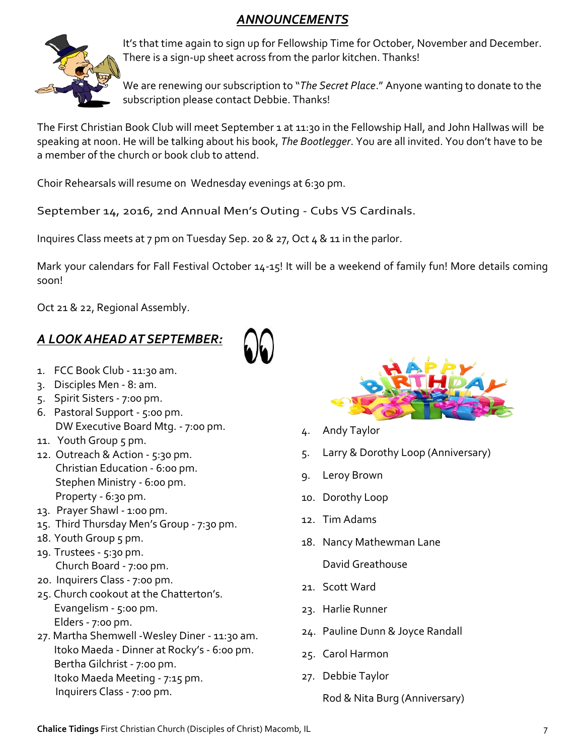### *ANNOUNCEMENTS*



It's that time again to sign up for Fellowship Time for October, November and December. There is a sign-up sheet across from the parlor kitchen. Thanks!

We are renewing our subscription to "*The Secret Place*." Anyone wanting to donate to the subscription please contact Debbie. Thanks!

The First Christian Book Club will meet September 1 at 11:30 in the Fellowship Hall, and John Hallwas will be speaking at noon. He will be talking about his book, *The Bootlegger*. You are all invited. You don't have to be a member of the church or book club to attend.

Choir Rehearsals will resume on Wednesday evenings at 6:30 pm.

September 14, 2016, 2nd Annual Men's Outing - Cubs VS Cardinals.

Inquires Class meets at 7 pm on Tuesday Sep. 20 & 27, Oct 4 & 11 in the parlor.

Mark your calendars for Fall Festival October 14-15! It will be a weekend of family fun! More details coming soon!

Oct 21 & 22, Regional Assembly.

## *A LOOK AHEAD AT SEPTEMBER:*

- 1. FCC Book Club 11:30 am.
- 3. Disciples Men 8: am.
- 5. Spirit Sisters 7:00 pm.
- 6. Pastoral Support 5:00 pm. DW Executive Board Mtg. - 7:00 pm.
- 11. Youth Group 5 pm.
- 12. Outreach & Action 5:30 pm. Christian Education - 6:00 pm. Stephen Ministry - 6:00 pm. Property - 6:30 pm.
- 13. Prayer Shawl 1:00 pm.
- 15. Third Thursday Men's Group 7:30 pm.
- 18. Youth Group 5 pm.
- 19. Trustees 5:30 pm. Church Board - 7:00 pm.
- 20. Inquirers Class 7:00 pm.
- 25. Church cookout at the Chatterton's. Evangelism - 5:00 pm. Elders - 7:00 pm.
- 27. Martha Shemwell -Wesley Diner 11:30 am. Itoko Maeda - Dinner at Rocky's - 6:00 pm. Bertha Gilchrist - 7:00 pm. Itoko Maeda Meeting - 7:15 pm. Inquirers Class - 7:00 pm.



- 4. Andy Taylor
- 5. Larry & Dorothy Loop (Anniversary)
- 9. Leroy Brown
- 10. Dorothy Loop
- 12. Tim Adams
- 18. Nancy Mathewman Lane David Greathouse
- 21. Scott Ward
- 23. Harlie Runner
- 24. Pauline Dunn & Joyce Randall
- 25. Carol Harmon
- 27. Debbie Taylor

Rod & Nita Burg (Anniversary)